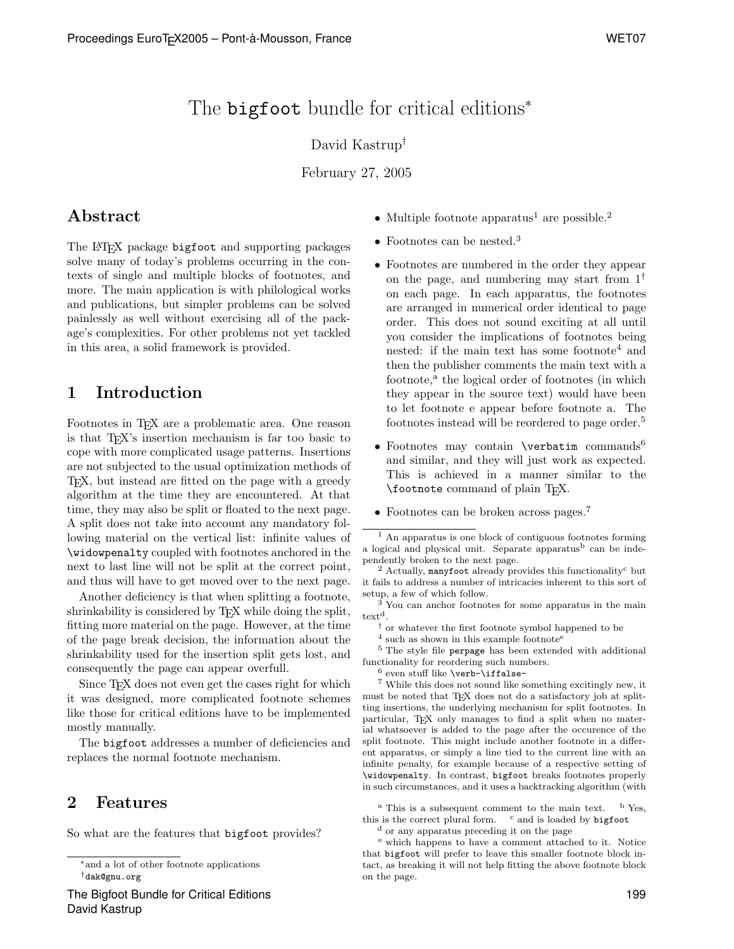# The **bigfoot** bundle for critical editions<sup>∗</sup>

### David Kastrup†

February 27, 2005

## Abstract

The L<sup>AT</sup>EX package bigfoot and supporting packages solve many of today's problems occurring in the contexts of single and multiple blocks of footnotes, and more. The main application is with philological works and publications, but simpler problems can be solved painlessly as well without exercising all of the package's complexities. For other problems not yet tackled in this area, a solid framework is provided.

## 1 Introduction

Footnotes in T<sub>EX</sub> are a problematic area. One reason is that TEX's insertion mechanism is far too basic to cope with more complicated usage patterns. Insertions are not subjected to the usual optimization methods of TEX, but instead are fitted on the page with a greedy algorithm at the time they are encountered. At that time, they may also be split or floated to the next page. A split does not take into account any mandatory following material on the vertical list: infinite values of \widowpenalty coupled with footnotes anchored in the next to last line will not be split at the correct point, and thus will have to get moved over to the next page.

Another deficiency is that when splitting a footnote, shrinkability is considered by T<sub>E</sub>X while doing the split, fitting more material on the page. However, at the time of the page break decision, the information about the shrinkability used for the insertion split gets lost, and consequently the page can appear overfull.

Since T<sub>E</sub>X does not even get the cases right for which it was designed, more complicated footnote schemes like those for critical editions have to be implemented mostly manually.

The bigfoot addresses a number of deficiencies and replaces the normal footnote mechanism.

## 2 Features

So what are the features that bigfoot provides?

- Multiple footnote apparatus<sup>1</sup> are possible.<sup>2</sup>
- Footnotes can be nested.<sup>3</sup>
- Footnotes are numbered in the order they appear on the page, and numbering may start from  $1^{\dagger}$ on each page. In each apparatus, the footnotes are arranged in numerical order identical to page order. This does not sound exciting at all until you consider the implications of footnotes being nested: if the main text has some footnote<sup>4</sup> and then the publisher comments the main text with a footnote,<sup>a</sup> the logical order of footnotes (in which they appear in the source text) would have been to let footnote e appear before footnote a. The footnotes instead will be reordered to page order.<sup>5</sup>
- Footnotes may contain **\verbatim** commands<sup>6</sup> and similar, and they will just work as expected. This is achieved in a manner similar to the \footnote command of plain TEX.
- Footnotes can be broken across pages.<sup>7</sup>

 $2$  Actually, manyfoot already provides this functionality<sup>c</sup> but it fails to address a number of intricacies inherent to this sort of setup, a few of which follow.

 $3$  You can anchor footnotes for some apparatus in the main  $text{text}^d$ .

† or whatever the first footnote symbol happened to be

<sup>4</sup> such as shown in this example footnote<sup>e</sup>

<sup>5</sup> The style file perpage has been extended with additional functionality for reordering such numbers.

 $6$  even stuff like \verb-\iffalse-

<sup>7</sup> While this does not sound like something excitingly new, it must be noted that T<sub>E</sub>X does not do a satisfactory job at splitting insertions, the underlying mechanism for split footnotes. In particular, TEX only manages to find a split when no material whatsoever is added to the page after the occurence of the split footnote. This might include another footnote in a different apparatus, or simply a line tied to the current line with an infinite penalty, for example because of a respective setting of \widowpenalty. In contrast, bigfoot breaks footnotes properly in such circumstances, and it uses a backtracking algorithm (with

 $^{\rm a}$  This is a subsequent comment to the main text.  $^{\rm b}$  Yes, this is the correct plural form.  $\cdot$  c and is loaded by bigfoot

<sup>d</sup> or any apparatus preceding it on the page

<sup>e</sup> which happens to have a comment attached to it. Notice that bigfoot will prefer to leave this smaller footnote block intact, as breaking it will not help fitting the above footnote block on the page.

<sup>∗</sup>and a lot of other footnote applications †dak@gnu.org

<sup>&</sup>lt;sup>1</sup> An apparatus is one block of contiguous footnotes forming a logical and physical unit. Separate apparatus<sup>b</sup> can be independently broken to the next page.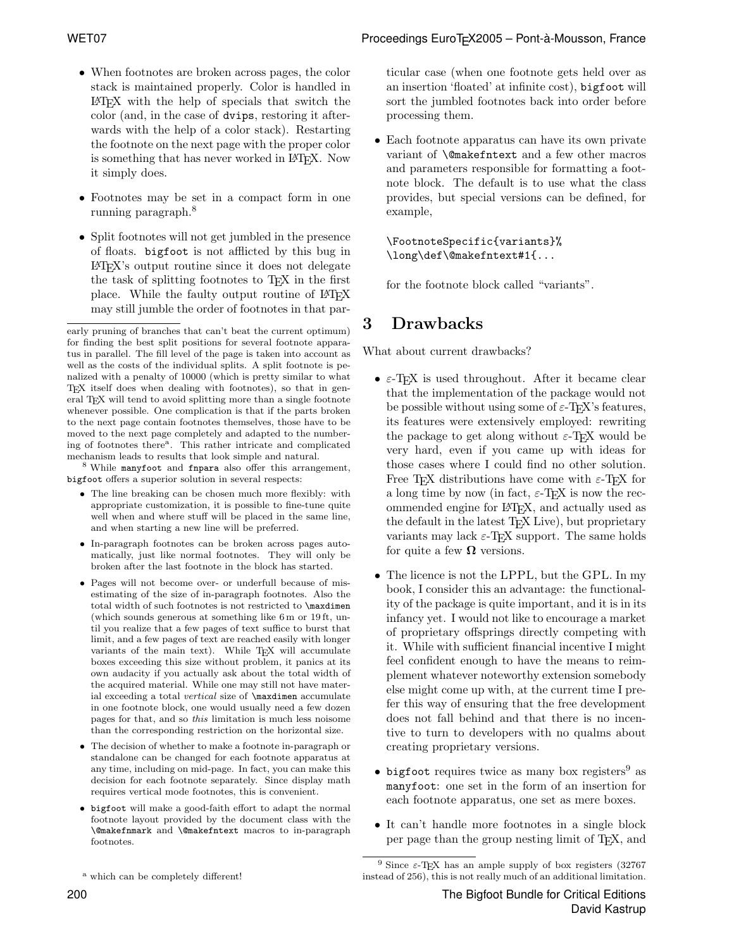- When footnotes are broken across pages, the color stack is maintained properly. Color is handled in LATEX with the help of specials that switch the color (and, in the case of dvips, restoring it afterwards with the help of a color stack). Restarting the footnote on the next page with the proper color is something that has never worked in IAT<sub>EX</sub>. Now it simply does.
- Footnotes may be set in a compact form in one running paragraph.<sup>8</sup>
- Split footnotes will not get jumbled in the presence of floats. bigfoot is not afflicted by this bug in LATEX's output routine since it does not delegate the task of splitting footnotes to T<sub>E</sub>X in the first place. While the faulty output routine of LAT<sub>EX</sub> may still jumble the order of footnotes in that par-

<sup>8</sup> While manyfoot and fnpara also offer this arrangement, bigfoot offers a superior solution in several respects:

- The line breaking can be chosen much more flexibly: with appropriate customization, it is possible to fine-tune quite well when and where stuff will be placed in the same line, and when starting a new line will be preferred.
- In-paragraph footnotes can be broken across pages automatically, just like normal footnotes. They will only be broken after the last footnote in the block has started.
- Pages will not become over- or underfull because of misestimating of the size of in-paragraph footnotes. Also the total width of such footnotes is not restricted to \maxdimen (which sounds generous at something like 6 m or 19 ft, until you realize that a few pages of text suffice to burst that limit, and a few pages of text are reached easily with longer variants of the main text). While TEX will accumulate boxes exceeding this size without problem, it panics at its own audacity if you actually ask about the total width of the acquired material. While one may still not have material exceeding a total vertical size of **\maxdimen** accumulate in one footnote block, one would usually need a few dozen pages for that, and so this limitation is much less noisome than the corresponding restriction on the horizontal size.
- The decision of whether to make a footnote in-paragraph or standalone can be changed for each footnote apparatus at any time, including on mid-page. In fact, you can make this decision for each footnote separately. Since display math requires vertical mode footnotes, this is convenient.
- bigfoot will make a good-faith effort to adapt the normal footnote layout provided by the document class with the \@makefnmark and \@makefntext macros to in-paragraph footnotes.

ticular case (when one footnote gets held over as an insertion 'floated' at infinite cost), bigfoot will sort the jumbled footnotes back into order before processing them.

• Each footnote apparatus can have its own private variant of \@makefntext and a few other macros and parameters responsible for formatting a footnote block. The default is to use what the class provides, but special versions can be defined, for example,

\FootnoteSpecific{variants}% \long\def\@makefntext#1{...

for the footnote block called "variants".

## 3 Drawbacks

What about current drawbacks?

- $\varepsilon$ -T<sub>E</sub>X is used throughout. After it became clear that the implementation of the package would not be possible without using some of  $\varepsilon$ -T<sub>E</sub>X's features, its features were extensively employed: rewriting the package to get along without  $\varepsilon$ -T<sub>E</sub>X would be very hard, even if you came up with ideas for those cases where I could find no other solution. Free T<sub>E</sub>X distributions have come with  $\varepsilon$ -T<sub>E</sub>X for a long time by now (in fact,  $\varepsilon$ -T<sub>E</sub>X is now the recommended engine for LATEX, and actually used as the default in the latest T<sub>EX</sub> Live), but proprietary variants may lack  $\varepsilon$ -T<sub>E</sub>X support. The same holds for quite a few  $\Omega$  versions.
- The licence is not the LPPL, but the GPL. In my book, I consider this an advantage: the functionality of the package is quite important, and it is in its infancy yet. I would not like to encourage a market of proprietary offsprings directly competing with it. While with sufficient financial incentive I might feel confident enough to have the means to reimplement whatever noteworthy extension somebody else might come up with, at the current time I prefer this way of ensuring that the free development does not fall behind and that there is no incentive to turn to developers with no qualms about creating proprietary versions.
- $\bullet$  bigfoot requires twice as many box registers<sup>9</sup> as manyfoot: one set in the form of an insertion for each footnote apparatus, one set as mere boxes.
- It can't handle more footnotes in a single block per page than the group nesting limit of TEX, and

early pruning of branches that can't beat the current optimum) for finding the best split positions for several footnote apparatus in parallel. The fill level of the page is taken into account as well as the costs of the individual splits. A split footnote is penalized with a penalty of 10000 (which is pretty similar to what T<sub>E</sub>X itself does when dealing with footnotes), so that in general T<sub>E</sub>X will tend to avoid splitting more than a single footnote whenever possible. One complication is that if the parts broken to the next page contain footnotes themselves, those have to be moved to the next page completely and adapted to the numbering of footnotes there<sup>a</sup>. This rather intricate and complicated mechanism leads to results that look simple and natural.

<sup>&</sup>lt;sup>a</sup> which can be completely different!

<sup>&</sup>lt;sup>9</sup> Since  $\varepsilon$ -T<sub>E</sub>X has an ample supply of box registers (32767) instead of 256), this is not really much of an additional limitation.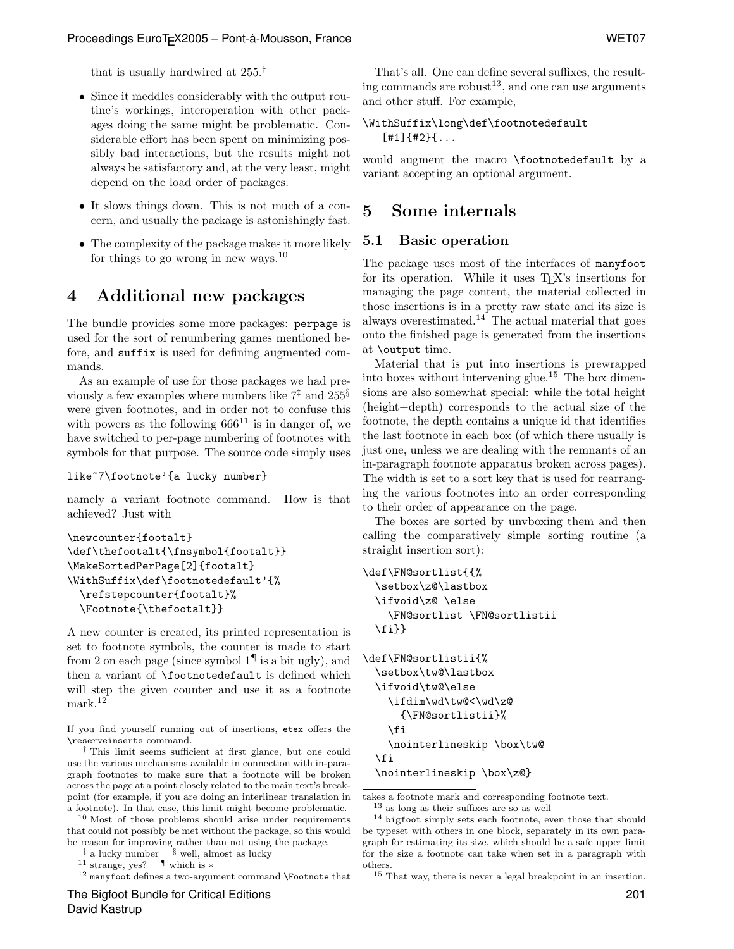that is usually hardwired at 255.†

- Since it meddles considerably with the output routine's workings, interoperation with other packages doing the same might be problematic. Considerable effort has been spent on minimizing possibly bad interactions, but the results might not always be satisfactory and, at the very least, might depend on the load order of packages.
- It slows things down. This is not much of a concern, and usually the package is astonishingly fast.
- The complexity of the package makes it more likely for things to go wrong in new ways.<sup>10</sup>

## 4 Additional new packages

The bundle provides some more packages: perpage is used for the sort of renumbering games mentioned before, and suffix is used for defining augmented commands.

As an example of use for those packages we had previously a few examples where numbers like  $7^{\ddagger}$  and  $255^{\circ}$ were given footnotes, and in order not to confuse this with powers as the following  $666^{11}$  is in danger of, we have switched to per-page numbering of footnotes with symbols for that purpose. The source code simply uses

```
like~7\footnote'{a lucky number}
```
namely a variant footnote command. How is that achieved? Just with

```
\newcounter{footalt}
\def\thefootalt{\fnsymbol{footalt}}
\MakeSortedPerPage[2]{footalt}
\WithSuffix\def\footnotedefault'{%
  \refstepcounter{footalt}%
  \Footnote{\thefootalt}}
```
A new counter is created, its printed representation is set to footnote symbols, the counter is made to start from 2 on each page (since symbol  $1^{\P}$  is a bit ugly), and then a variant of \footnotedefault is defined which will step the given counter and use it as a footnote mark.<sup>12</sup>

<sup>11</sup> strange, yes? ¶ which is ∗

The Bigfoot Bundle for Critical Editions David Kastrup

That's all. One can define several suffixes, the resulting commands are robust<sup>13</sup>, and one can use arguments and other stuff. For example,

#### \WithSuffix\long\def\footnotedefault  $[$ #1]{#2}{...

would augment the macro \footnotedefault by a variant accepting an optional argument.

## 5 Some internals

#### 5.1 Basic operation

The package uses most of the interfaces of manyfoot for its operation. While it uses TEX's insertions for managing the page content, the material collected in those insertions is in a pretty raw state and its size is always overestimated.<sup>14</sup> The actual material that goes onto the finished page is generated from the insertions at \output time.

Material that is put into insertions is prewrapped into boxes without intervening glue.<sup>15</sup> The box dimensions are also somewhat special: while the total height (height+depth) corresponds to the actual size of the footnote, the depth contains a unique id that identifies the last footnote in each box (of which there usually is just one, unless we are dealing with the remnants of an in-paragraph footnote apparatus broken across pages). The width is set to a sort key that is used for rearranging the various footnotes into an order corresponding to their order of appearance on the page.

The boxes are sorted by unvboxing them and then calling the comparatively simple sorting routine (a straight insertion sort):

```
\def\FN@sortlist{{%
  \setbox\z@\lastbox
  \ifvoid\z@ \else
    \FN@sortlist \FN@sortlistii
  \fi}}
\def\FN@sortlistii{%
  \setbox\tw@\lastbox
  \ifvoid\tw@\else
    \ifdim\wd\tw@<\wd\z@
      {\FN@sortlistii}%
    \fi
    \nointerlineskip \box\tw@
  \fi
```
\nointerlineskip \box\z@}

takes a footnote mark and corresponding footnote text.

If you find yourself running out of insertions, etex offers the \reserveinserts command.

<sup>†</sup> This limit seems sufficient at first glance, but one could use the various mechanisms available in connection with in-paragraph footnotes to make sure that a footnote will be broken across the page at a point closely related to the main text's breakpoint (for example, if you are doing an interlinear translation in a footnote). In that case, this limit might become problematic.

<sup>10</sup> Most of those problems should arise under requirements that could not possibly be met without the package, so this would be reason for improving rather than not using the package.

<sup>‡</sup> a lucky number § well, almost as lucky

 $^{12}$  manyfoot defines a two-argument command **\Footnote** that

 $^{13}$  as long as their suffixes are so as well

<sup>&</sup>lt;sup>14</sup> bigfoot simply sets each footnote, even those that should be typeset with others in one block, separately in its own paragraph for estimating its size, which should be a safe upper limit for the size a footnote can take when set in a paragraph with others.

 $^{15}$  That way, there is never a legal breakpoint in an insertion.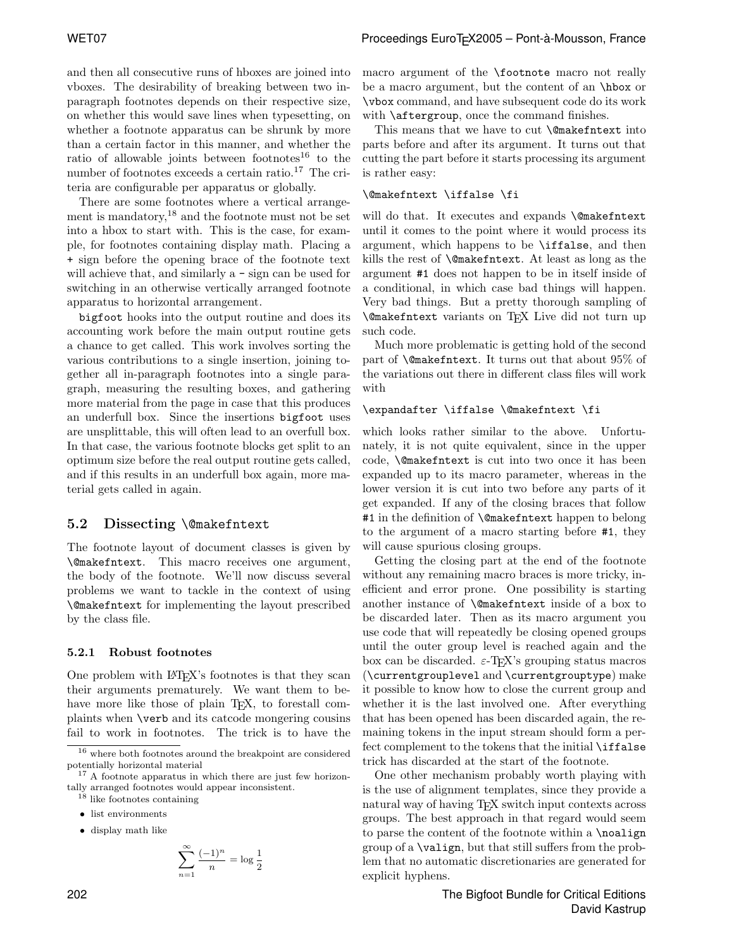and then all consecutive runs of hboxes are joined into vboxes. The desirability of breaking between two inparagraph footnotes depends on their respective size, on whether this would save lines when typesetting, on whether a footnote apparatus can be shrunk by more than a certain factor in this manner, and whether the ratio of allowable joints between footnotes $^{16}$  to the number of footnotes exceeds a certain ratio.<sup>17</sup> The criteria are configurable per apparatus or globally.

There are some footnotes where a vertical arrangement is mandatory, $18$  and the footnote must not be set into a hbox to start with. This is the case, for example, for footnotes containing display math. Placing a + sign before the opening brace of the footnote text will achieve that, and similarly a  $-$  sign can be used for switching in an otherwise vertically arranged footnote apparatus to horizontal arrangement.

bigfoot hooks into the output routine and does its accounting work before the main output routine gets a chance to get called. This work involves sorting the various contributions to a single insertion, joining together all in-paragraph footnotes into a single paragraph, measuring the resulting boxes, and gathering more material from the page in case that this produces an underfull box. Since the insertions bigfoot uses are unsplittable, this will often lead to an overfull box. In that case, the various footnote blocks get split to an optimum size before the real output routine gets called, and if this results in an underfull box again, more material gets called in again.

#### 5.2 Dissecting \@makefntext

The footnote layout of document classes is given by \@makefntext. This macro receives one argument, the body of the footnote. We'll now discuss several problems we want to tackle in the context of using \@makefntext for implementing the layout prescribed by the class file.

#### 5.2.1 Robust footnotes

One problem with LAT<sub>EX</sub>'s footnotes is that they scan their arguments prematurely. We want them to behave more like those of plain T<sub>E</sub>X, to forestall complaints when \verb and its catcode mongering cousins fail to work in footnotes. The trick is to have the

• display math like

$$
\sum_{n=1}^{\infty} \frac{(-1)^n}{n} = \log \frac{1}{2}
$$

macro argument of the \footnote macro not really be a macro argument, but the content of an \hbox or \vbox command, and have subsequent code do its work with  $\alpha$  tergroup, once the command finishes.

This means that we have to cut **\@makefntext** into parts before and after its argument. It turns out that cutting the part before it starts processing its argument is rather easy:

#### \@makefntext \iffalse \fi

will do that. It executes and expands \@makefntext until it comes to the point where it would process its argument, which happens to be \iffalse, and then kills the rest of \@makefntext. At least as long as the argument #1 does not happen to be in itself inside of a conditional, in which case bad things will happen. Very bad things. But a pretty thorough sampling of \@makefntext variants on TEX Live did not turn up such code.

Much more problematic is getting hold of the second part of \@makefntext. It turns out that about 95% of the variations out there in different class files will work with

#### \expandafter \iffalse \@makefntext \fi

which looks rather similar to the above. Unfortunately, it is not quite equivalent, since in the upper code, \@makefntext is cut into two once it has been expanded up to its macro parameter, whereas in the lower version it is cut into two before any parts of it get expanded. If any of the closing braces that follow #1 in the definition of \@makefntext happen to belong to the argument of a macro starting before #1, they will cause spurious closing groups.

Getting the closing part at the end of the footnote without any remaining macro braces is more tricky, inefficient and error prone. One possibility is starting another instance of \@makefntext inside of a box to be discarded later. Then as its macro argument you use code that will repeatedly be closing opened groups until the outer group level is reached again and the box can be discarded.  $\varepsilon$ -T<sub>E</sub>X's grouping status macros (\currentgrouplevel and \currentgrouptype) make it possible to know how to close the current group and whether it is the last involved one. After everything that has been opened has been discarded again, the remaining tokens in the input stream should form a perfect complement to the tokens that the initial \iffalse trick has discarded at the start of the footnote.

One other mechanism probably worth playing with is the use of alignment templates, since they provide a natural way of having TEX switch input contexts across groups. The best approach in that regard would seem to parse the content of the footnote within a \noalign group of a \valign, but that still suffers from the problem that no automatic discretionaries are generated for explicit hyphens.

 $^{16}$  where both footnotes around the breakpoint are considered  $\,$ potentially horizontal material

<sup>&</sup>lt;sup>17</sup> A footnote apparatus in which there are just few horizontally arranged footnotes would appear inconsistent.

<sup>18</sup> like footnotes containing

<sup>•</sup> list environments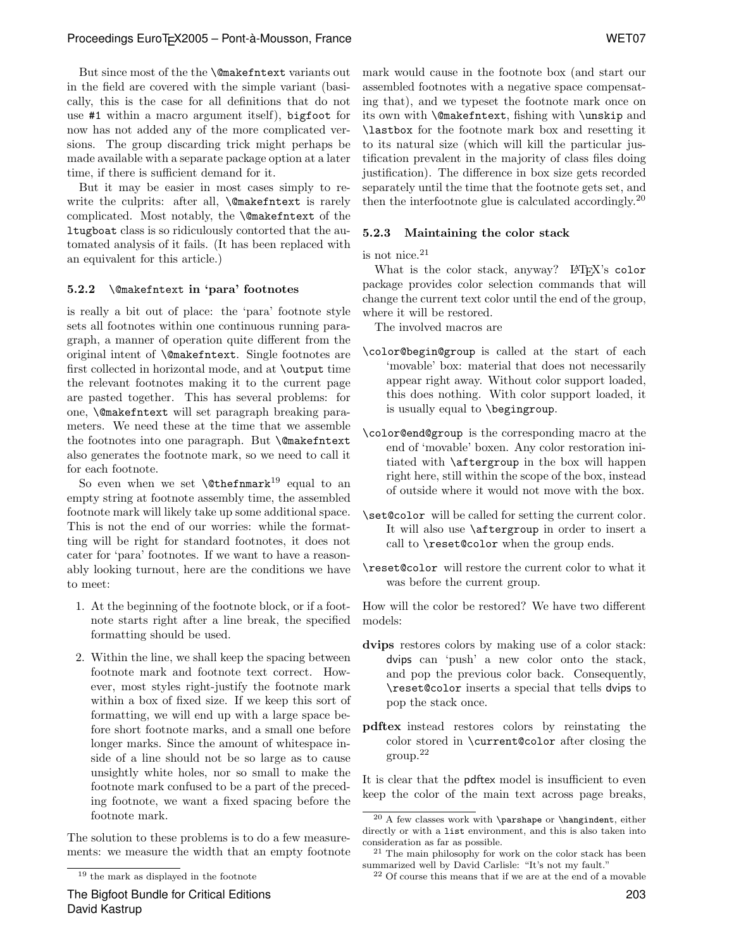But since most of the the \@makefntext variants out in the field are covered with the simple variant (basically, this is the case for all definitions that do not use #1 within a macro argument itself), bigfoot for now has not added any of the more complicated versions. The group discarding trick might perhaps be made available with a separate package option at a later time, if there is sufficient demand for it.

But it may be easier in most cases simply to rewrite the culprits: after all, *\@makefntext* is rarely complicated. Most notably, the \@makefntext of the ltugboat class is so ridiculously contorted that the automated analysis of it fails. (It has been replaced with an equivalent for this article.)

#### 5.2.2 \@makefntext in 'para' footnotes

is really a bit out of place: the 'para' footnote style sets all footnotes within one continuous running paragraph, a manner of operation quite different from the original intent of \@makefntext. Single footnotes are first collected in horizontal mode, and at \output time the relevant footnotes making it to the current page are pasted together. This has several problems: for one, \@makefntext will set paragraph breaking parameters. We need these at the time that we assemble the footnotes into one paragraph. But \@makefntext also generates the footnote mark, so we need to call it for each footnote.

So even when we set  $\text{thefmark}^{19}$  equal to an empty string at footnote assembly time, the assembled footnote mark will likely take up some additional space. This is not the end of our worries: while the formatting will be right for standard footnotes, it does not cater for 'para' footnotes. If we want to have a reasonably looking turnout, here are the conditions we have to meet:

- 1. At the beginning of the footnote block, or if a footnote starts right after a line break, the specified formatting should be used.
- 2. Within the line, we shall keep the spacing between footnote mark and footnote text correct. However, most styles right-justify the footnote mark within a box of fixed size. If we keep this sort of formatting, we will end up with a large space before short footnote marks, and a small one before longer marks. Since the amount of whitespace inside of a line should not be so large as to cause unsightly white holes, nor so small to make the footnote mark confused to be a part of the preceding footnote, we want a fixed spacing before the footnote mark.

The solution to these problems is to do a few measurements: we measure the width that an empty footnote

The Bigfoot Bundle for Critical Editions David Kastrup

mark would cause in the footnote box (and start our assembled footnotes with a negative space compensating that), and we typeset the footnote mark once on its own with \@makefntext, fishing with \unskip and \lastbox for the footnote mark box and resetting it to its natural size (which will kill the particular justification prevalent in the majority of class files doing justification). The difference in box size gets recorded separately until the time that the footnote gets set, and then the interfootnote glue is calculated accordingly.<sup>20</sup>

#### 5.2.3 Maintaining the color stack

is not nice.<sup>21</sup>

What is the color stack, anyway? LATEX's color package provides color selection commands that will change the current text color until the end of the group, where it will be restored.

The involved macros are

- \color@begin@group is called at the start of each 'movable' box: material that does not necessarily appear right away. Without color support loaded, this does nothing. With color support loaded, it is usually equal to \begingroup.
- \color@end@group is the corresponding macro at the end of 'movable' boxen. Any color restoration initiated with \aftergroup in the box will happen right here, still within the scope of the box, instead of outside where it would not move with the box.
- \set@color will be called for setting the current color. It will also use \aftergroup in order to insert a call to \reset@color when the group ends.
- \reset@color will restore the current color to what it was before the current group.

How will the color be restored? We have two different models:

- dvips restores colors by making use of a color stack: dvips can 'push' a new color onto the stack, and pop the previous color back. Consequently, \reset@color inserts a special that tells dvips to pop the stack once.
- pdftex instead restores colors by reinstating the color stored in \current@color after closing the group.<sup>22</sup>

It is clear that the pdftex model is insufficient to even keep the color of the main text across page breaks,

<sup>19</sup> the mark as displayed in the footnote

<sup>20</sup> A few classes work with \parshape or \hangindent, either directly or with a list environment, and this is also taken into consideration as far as possible.

<sup>21</sup> The main philosophy for work on the color stack has been summarized well by David Carlisle: "It's not my fault."

 $22$  Of course this means that if we are at the end of a movable